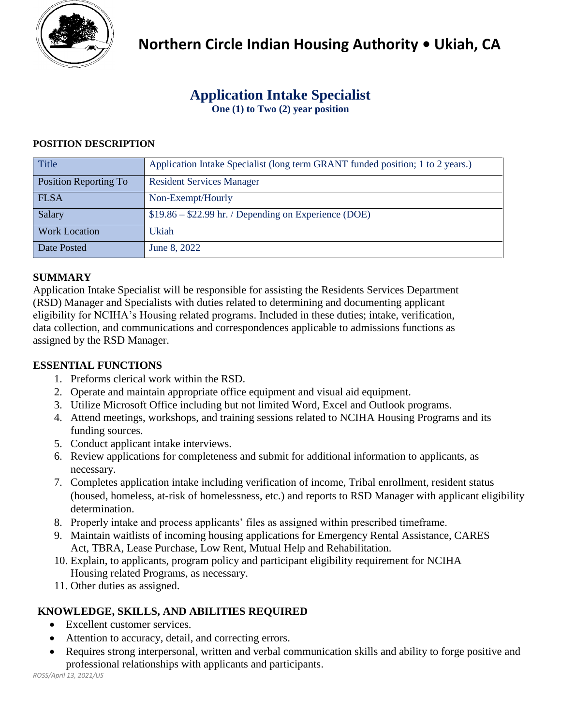

# **Application Intake Specialist**

**One (1) to Two (2) year position**

## **POSITION DESCRIPTION**

| <b>Title</b>          | Application Intake Specialist (long term GRANT funded position; 1 to 2 years.) |
|-----------------------|--------------------------------------------------------------------------------|
| Position Reporting To | <b>Resident Services Manager</b>                                               |
| <b>FLSA</b>           | Non-Exempt/Hourly                                                              |
| Salary                | $$19.86 - $22.99$ hr. / Depending on Experience (DOE)                          |
| <b>Work Location</b>  | Ukiah                                                                          |
| Date Posted           | June 8, 2022                                                                   |

## **SUMMARY**

Application Intake Specialist will be responsible for assisting the Residents Services Department (RSD) Manager and Specialists with duties related to determining and documenting applicant eligibility for NCIHA's Housing related programs. Included in these duties; intake, verification, data collection, and communications and correspondences applicable to admissions functions as assigned by the RSD Manager.

### **ESSENTIAL FUNCTIONS**

- 1. Preforms clerical work within the RSD.
- 2. Operate and maintain appropriate office equipment and visual aid equipment.
- 3. Utilize Microsoft Office including but not limited Word, Excel and Outlook programs.
- 4. Attend meetings, workshops, and training sessions related to NCIHA Housing Programs and its funding sources.
- 5. Conduct applicant intake interviews.
- 6. Review applications for completeness and submit for additional information to applicants, as necessary.
- 7. Completes application intake including verification of income, Tribal enrollment, resident status (housed, homeless, at-risk of homelessness, etc.) and reports to RSD Manager with applicant eligibility determination.
- 8. Properly intake and process applicants' files as assigned within prescribed timeframe.
- 9. Maintain waitlists of incoming housing applications for Emergency Rental Assistance, CARES Act, TBRA, Lease Purchase, Low Rent, Mutual Help and Rehabilitation.
- 10. Explain, to applicants, program policy and participant eligibility requirement for NCIHA Housing related Programs, as necessary.
- 11. Other duties as assigned.

# **KNOWLEDGE, SKILLS, AND ABILITIES REQUIRED**

- Excellent customer services.
- Attention to accuracy, detail, and correcting errors.
- Requires strong interpersonal, written and verbal communication skills and ability to forge positive and professional relationships with applicants and participants.